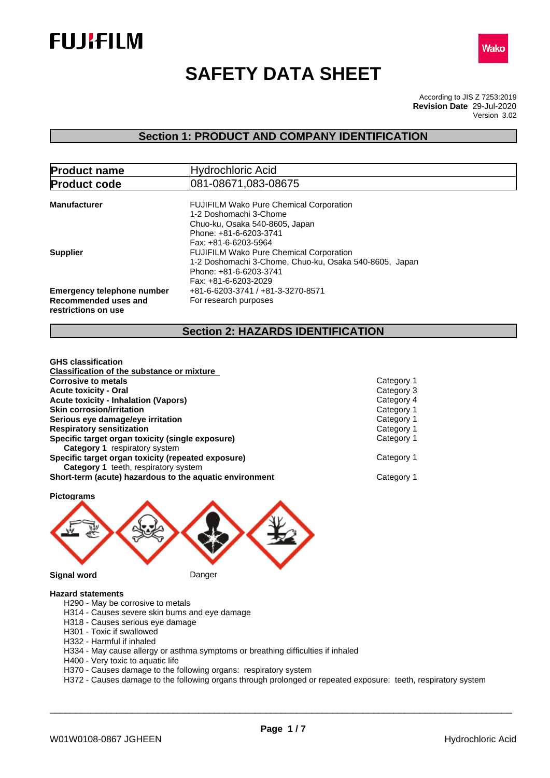



# **SAFETY DATA SHEET**

According to JIS Z 7253:2019 Version 3.02 **Revision Date** 29-Jul-2020

### **Section 1: PRODUCT AND COMPANY IDENTIFICATION**

| <b>Product name</b>                                                              | Hydrochloric Acid                                                                                                                                            |  |  |  |
|----------------------------------------------------------------------------------|--------------------------------------------------------------------------------------------------------------------------------------------------------------|--|--|--|
| <b>Product code</b>                                                              | 081-08671,083-08675                                                                                                                                          |  |  |  |
| <b>Manufacturer</b>                                                              | <b>FUJIFILM Wako Pure Chemical Corporation</b><br>1-2 Doshomachi 3-Chome<br>Chuo-ku, Osaka 540-8605, Japan<br>Phone: +81-6-6203-3741<br>Fax: +81-6-6203-5964 |  |  |  |
| <b>Supplier</b>                                                                  | <b>FUJIFILM Wako Pure Chemical Corporation</b><br>1-2 Doshomachi 3-Chome, Chuo-ku, Osaka 540-8605, Japan<br>Phone: +81-6-6203-3741<br>Fax: +81-6-6203-2029   |  |  |  |
| <b>Emergency telephone number</b><br>Recommended uses and<br>restrictions on use | +81-6-6203-3741 / +81-3-3270-8571<br>For research purposes                                                                                                   |  |  |  |

### **Section 2: HAZARDS IDENTIFICATION**

| Category 1 |
|------------|
| Category 3 |
| Category 4 |
| Category 1 |
| Category 1 |
| Category 1 |
| Category 1 |
| Category 1 |
| Category 1 |
|            |

**Pictograms Signal word** Danger

#### **Hazard statements**

- H290 May be corrosive to metals
- H314 Causes severe skin burns and eye damage
- H318 Causes serious eye damage
- H301 Toxic if swallowed
- H332 Harmful if inhaled
- H334 May cause allergy or asthma symptoms or breathing difficulties if inhaled
- H400 Very toxic to aquatic life
- H370 Causes damage to the following organs: respiratory system
- H372 Causes damage to the following organs through prolonged or repeated exposure: teeth, respiratory system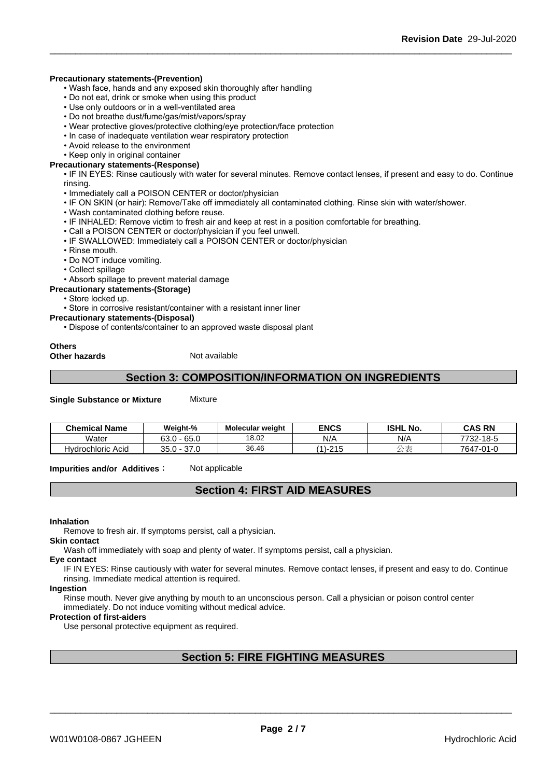#### **Precautionary statements-(Prevention)**

- Wash face, hands and any exposed skin thoroughly after handling
- Do not eat, drink or smoke when using this product
- Use only outdoors or in a well-ventilated area
- Do not breathe dust/fume/gas/mist/vapors/spray
- Wear protective gloves/protective clothing/eye protection/face protection
- In case of inadequate ventilation wear respiratory protection
- Avoid release to the environment
- Keep only in original container

#### **Precautionary statements-(Response)**

• IF IN EYES: Rinse cautiously with water for several minutes. Remove contact lenses, if present and easy to do. Continue rinsing.

- Immediately call a POISON CENTER or doctor/physician
- IF ON SKIN (or hair): Remove/Take off immediately all contaminated clothing. Rinse skin with water/shower.
- Wash contaminated clothing before reuse.
- IF INHALED: Remove victim to fresh air and keep at rest in a position comfortable for breathing.
- Call a POISON CENTER or doctor/physician if you feel unwell.
- IF SWALLOWED: Immediately call a POISON CENTER or doctor/physician
- Rinse mouth.
- Do NOT induce vomiting.
- Collect spillage
- Absorb spillage to prevent material damage
- **Precautionary statements-(Storage)**
	- Store locked up.

• Store in corrosive resistant/container with a resistant inner liner

- **Precautionary statements-(Disposal)**
	- Dispose of contents/container to an approved waste disposal plant

#### **Others Other hazards** Not available

### **Section 3: COMPOSITION/INFORMATION ON INGREDIENTS**

**Single Substance or Mixture** Mixture

| <b>Chemical Name</b> | Weight-%                               | <b>Molecular weight</b> | <b>ENCS</b>                    | <b>ISHL No.</b> | <b>CAS RN</b>         |
|----------------------|----------------------------------------|-------------------------|--------------------------------|-----------------|-----------------------|
| Water                | $\sim$ $\sim$<br>rn.<br>− ხ5.⊾<br>οა.∪ | 18.02                   | N/A                            | N/A             | 7722.40E<br>כ-סו−∠כ ֿ |
| Hydrochloric Acid    | $\sim$ $\sim$<br>35.0<br>ى ، ر         | 36.46                   | 24E<br>$\lambda$<br>.<br>ں ہے۔ | $\rightarrow$ 2 | 7647-01-0             |

**Impurities and/or Additives:** Not applicable

### **Section 4: FIRST AID MEASURES**

#### **Inhalation**

Remove to fresh air. If symptoms persist, call a physician.

### **Skin contact**

Wash off immediately with soap and plenty of water. If symptoms persist, calla physician.

#### **Eye contact**

IF IN EYES: Rinse cautiously with water for several minutes. Remove contact lenses, if present and easy to do. Continue rinsing. Immediate medical attention is required.

#### **Ingestion**

Rinse mouth. Never give anything by mouth to an unconscious person. Call a physician or poison control center immediately. Do not induce vomiting without medical advice.

#### **Protection of first-aiders**

Use personal protective equipment as required.

### **Section 5: FIRE FIGHTING MEASURES**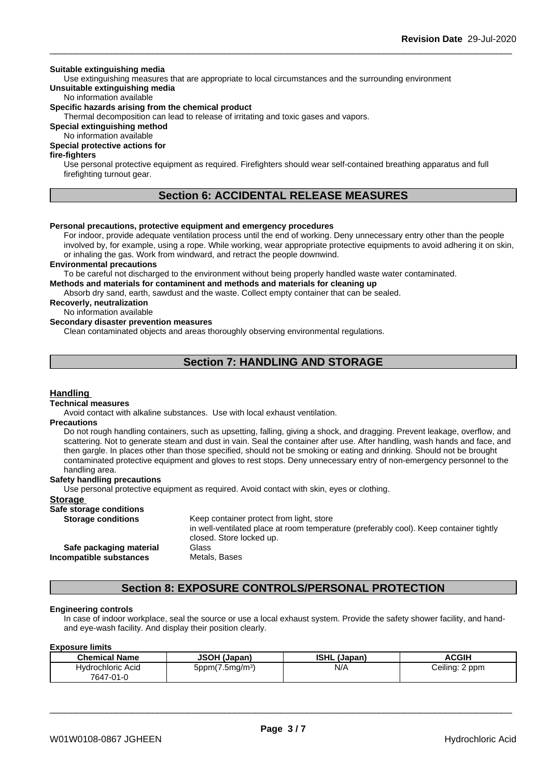#### **Suitable extinguishing media**

Use extinguishing measures that are appropriate to local circumstances and the surrounding environment **Unsuitable extinguishing media**

### No information available

#### **Specific hazards arising from the chemical product**

Thermal decomposition can lead to release of irritating and toxic gases and vapors.

**Special extinguishing method**

### No information available

### **Special protective actions for**

#### **fire-fighters**

Use personal protective equipment as required.Firefighters should wear self-contained breathing apparatus and full firefighting turnout gear.

### **Section 6: ACCIDENTAL RELEASE MEASURES**

#### **Personal precautions, protective equipment and emergency procedures**

For indoor, provide adequate ventilation process until the end of working. Deny unnecessary entry other than the people involved by, for example, using a rope. While working, wear appropriate protective equipments to avoid adhering it on skin, or inhaling the gas. Work from windward, and retract the people downwind.

#### **Environmental precautions**

To be careful not discharged to the environment without being properly handled waste water contaminated.

**Methods and materials for contaminent and methods and materials for cleaning up**

Absorb dry sand, earth, sawdust and the waste. Collect empty container that can be sealed.

#### **Recoverly, neutralization**

No information available

### **Secondary disaster prevention measures**

Clean contaminated objects and areas thoroughly observing environmental regulations.

### **Section 7: HANDLING AND STORAGE**

#### **Handling**

#### **Technical measures**

Avoid contact with alkaline substances. Use with local exhaust ventilation.

#### **Precautions**

Do not rough handling containers, such as upsetting, falling, giving a shock, and dragging. Prevent leakage, overflow, and scattering. Not to generate steam and dust in vain. Seal the container after use. After handling, wash hands and face, and then gargle. In places other than those specified, should not be smoking or eating and drinking. Should not be brought contaminated protective equipment and gloves to rest stops. Deny unnecessary entry of non-emergency personnel to the handling area.

#### **Safety handling precautions**

Use personal protective equipment as required.Avoid contact with skin, eyes or clothing.

#### **Storage**

#### **Safe storage conditions**

**Storage conditions** Keep container protect from light, store in well-ventilated place at room temperature (preferably cool). Keep container tightly closed. Store locked up. **Safe packaging material** Glass **Incompatible substances** Metals, Bases

### **Section 8: EXPOSURE CONTROLS/PERSONAL PROTECTION**

#### **Engineering controls**

In case of indoor workplace, seal the source or use a local exhaust system. Provide the safety shower facility, and handand eye-wash facility. And display their position clearly.

#### **Exposure limits**

| <b>Chemical Name</b> | JSOH (Ja<br>(Japan)            | <b>ISHL</b><br>(Japan) | <b>ACGIH</b>        |
|----------------------|--------------------------------|------------------------|---------------------|
| Hydrochloric Acid    | $5$ ppm $(7.5$ mg/m $3$<br>. . | N/A                    | Ceiling: 2 ppm<br>ີ |
| 7647-01-0            |                                |                        |                     |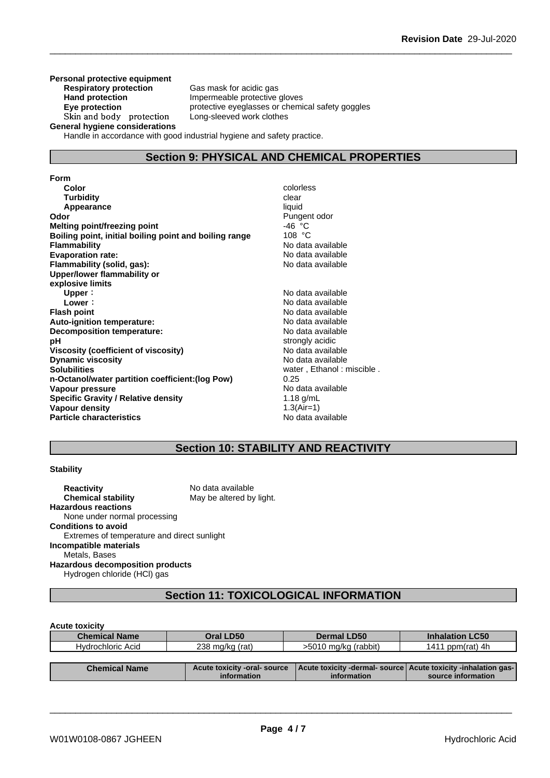**Personal protective equipment Respiratory protection** Gas mask for acidic gas **Hand protection**<br> **Eve protection**<br> **Eve protection**<br> **Eve protection**<br> **Eve protection** Skin and body protection **General hygiene considerations**

protective eyeglasses or chemical safety goggles<br>Long-sleeved work clothes

Handle in accordance with good industrial hygiene and safety practice.

### **Section 9: PHYSICAL AND CHEMICAL PROPERTIES**

**Form Color** colorless **Color** colorless **Color** colorless **Color** colorless **Color Color Color Color Color Color Color Color Color Color Color Color Color Color Color Color Color Color Color Turbidity Clear Appearance** liquid **Odor** Pungent odor<br> **Melting point/freezing point** example that the set of the Pungent odor<br>
Pungent odor A46 °C **Melting point/freezing point** -46 °C **Boiling point, initial boiling point and boiling range Flammability** No data available **Evaporation rate:** No data available **Flammability (solid, gas):** No data available **Upper/lower flammability or explosive limits Upper**: No data available **Lower**: No data available **Flash point**<br> **Auto-ignition temperature:**<br> **Auto-ignition temperature:**<br> **Auto-ignition temperature: Auto-ignition temperature:**<br> **Decomposition temperature:** No data available **Decomposition temperature:**<br>pH **Viscosity (coefficient of viscosity)** No data available **Dynamic viscosity**<br> **Solubilities**<br> **Solubilities**<br> **Solubilities n-Octanol/water partition coefficient:(log Pow)** 0.25 **Vapour pressure** No data available **Specific Gravity / Relative density** 1.18 g/mL **Vapour density** 1.3(Air=1) **Particle characteristics** No data available

strongly acidic water, Ethanol : miscible .<br>0.25

### **Section 10: STABILITY AND REACTIVITY**

#### **Stability**

**Reactivity** No data available **Chemical stability** May be altered by light. **Hazardous reactions** None under normal processing **Conditions to avoid** Extremes of temperature and direct sunlight **Incompatible materials** Metals, Bases **Hazardous decomposition products** Hydrogen chloride (HCl) gas

### **Section 11: TOXICOLOGICAL INFORMATION**

#### **Acute toxicity**

| <b>Chemical Name</b> | Oral LD50                    | Dermal LD50          | <b>Inhalation LC50</b>                                         |
|----------------------|------------------------------|----------------------|----------------------------------------------------------------|
| Hydrochloric Acid    | 238 mg/kg (rat)              | >5010 mg/kg (rabbit) | 1411 ppm $(rat)$ 4h                                            |
|                      |                              |                      |                                                                |
| <b>Chemical Name</b> | Acute toxicity -oral- source |                      | Acute toxicity -dermal- source Acute toxicity -inhalation gas- |
|                      | information                  | information          | source information                                             |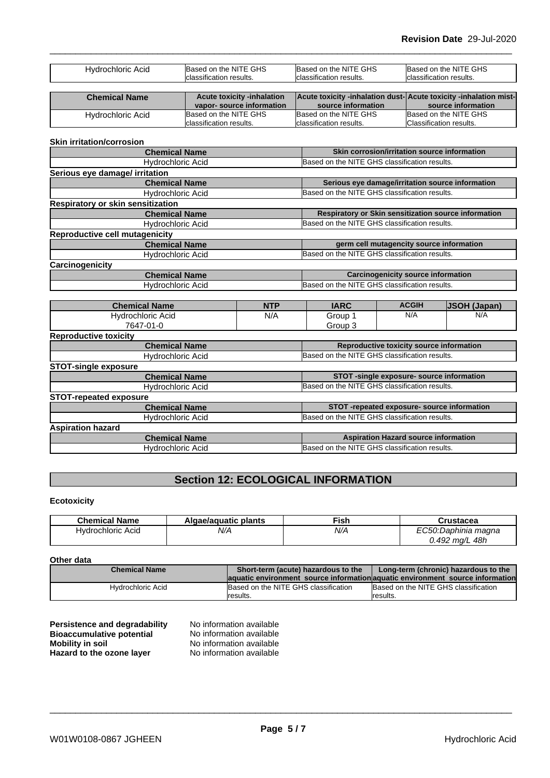| <b>ALCOHOL: NUMBER</b> | Access to contain the bolight on |                          | الفصاحب ويجافعا وماميل ويفاوضه والمتحدد فالفصياء ويجافعا والماميل ويفاوتهم فاستوق المستور |
|------------------------|----------------------------------|--------------------------|-------------------------------------------------------------------------------------------|
|                        |                                  |                          |                                                                                           |
|                        | classification results.          | Iclassification results. | Iclassification results.                                                                  |
| Hydrochloric Acid      | Based on the NITE GHS            | Based on the NITE GHS    | Based on the NITE GHS                                                                     |

| <b>Chemical Name</b> | <b>Acute toxicity -inhalation</b> |                          | Acute toxicity -inhalation dust-Acute toxicity -inhalation mist- |  |
|----------------------|-----------------------------------|--------------------------|------------------------------------------------------------------|--|
|                      | vapor-source information          | source information       | source information                                               |  |
| Hydrochloric Acid    | Based on the NITE GHS             | Based on the NITE GHS    | Based on the NITE GHS                                            |  |
|                      | Iclassification results.          | Iclassification results. | Classification results.                                          |  |

#### **Skin irritation/corrosion**

| <b>Chemical Name</b>                     | Skin corrosion/irritation source information         |  |
|------------------------------------------|------------------------------------------------------|--|
| <b>Hydrochloric Acid</b>                 | Based on the NITE GHS classification results.        |  |
| Serious eye damage/ irritation           |                                                      |  |
| <b>Chemical Name</b>                     | Serious eye damage/irritation source information     |  |
| <b>Hydrochloric Acid</b>                 | Based on the NITE GHS classification results.        |  |
| <b>Respiratory or skin sensitization</b> |                                                      |  |
| <b>Chemical Name</b>                     | Respiratory or Skin sensitization source information |  |
| <b>Hydrochloric Acid</b>                 | Based on the NITE GHS classification results.        |  |
| <b>Reproductive cell mutagenicity</b>    |                                                      |  |
| <b>Chemical Name</b>                     | germ cell mutagencity source information             |  |
| <b>Hydrochloric Acid</b>                 | Based on the NITE GHS classification results.        |  |
| Carcinogenicity                          |                                                      |  |
| <b>Chemical Name</b>                     | <b>Carcinogenicity source information</b>            |  |
| Hydrochloric Acid                        | Based on the NITE GHS classification results.        |  |

| <b>Chemical Name</b>          | <b>NTP</b> | <b>IARC</b>                                   | <b>ACGIH</b>                                | <b>JSOH (Japan)</b> |
|-------------------------------|------------|-----------------------------------------------|---------------------------------------------|---------------------|
| Hydrochloric Acid             | N/A        | Group 1                                       | N/A                                         | N/A                 |
| 7647-01-0                     |            | Group 3                                       |                                             |                     |
| <b>Reproductive toxicity</b>  |            |                                               |                                             |                     |
| <b>Chemical Name</b>          |            |                                               | Reproductive toxicity source information    |                     |
| Hydrochloric Acid             |            | Based on the NITE GHS classification results. |                                             |                     |
| <b>STOT-single exposure</b>   |            |                                               |                                             |                     |
| <b>Chemical Name</b>          |            |                                               | STOT-single exposure- source information    |                     |
| Hydrochloric Acid             |            | Based on the NITE GHS classification results. |                                             |                     |
| <b>STOT-repeated exposure</b> |            |                                               |                                             |                     |
| <b>Chemical Name</b>          |            |                                               | STOT-repeated exposure- source information  |                     |
| Hydrochloric Acid             |            | Based on the NITE GHS classification results. |                                             |                     |
| <b>Aspiration hazard</b>      |            |                                               |                                             |                     |
| <b>Chemical Name</b>          |            |                                               | <b>Aspiration Hazard source information</b> |                     |
| <b>Hydrochloric Acid</b>      |            | Based on the NITE GHS classification results. |                                             |                     |

## **Section 12: ECOLOGICAL INFORMATION**

### **Ecotoxicity**

| <b>Chemical Name</b> | Algae/aguatic plants | <b>Fish</b> | Crustacea                                    |
|----------------------|----------------------|-------------|----------------------------------------------|
| Hydrochloric Acid    | N/A                  | N/A         | ⊏∩∽ีก∙∩<br>. .<br>ارد <i>.Daphinia maqna</i> |
|                      |                      |             | 48h<br>0.492<br>`ma∕L                        |

#### **Other data**

| <b>Chemical Name</b> | Short-term (acute) hazardous to the<br>Long-term (chronic) hazardous to the |                                                                               |
|----------------------|-----------------------------------------------------------------------------|-------------------------------------------------------------------------------|
|                      |                                                                             | aquatic environment source information aquatic environment source information |
| Hvdrochloric Acid    | Based on the NITE GHS classification                                        | Based on the NITE GHS classification                                          |
|                      | results.                                                                    | results.                                                                      |

| Persistence and degradability    | No information available |
|----------------------------------|--------------------------|
| <b>Bioaccumulative potential</b> | No information available |
| <b>Mobility in soil</b>          | No information available |
| Hazard to the ozone layer        | No information available |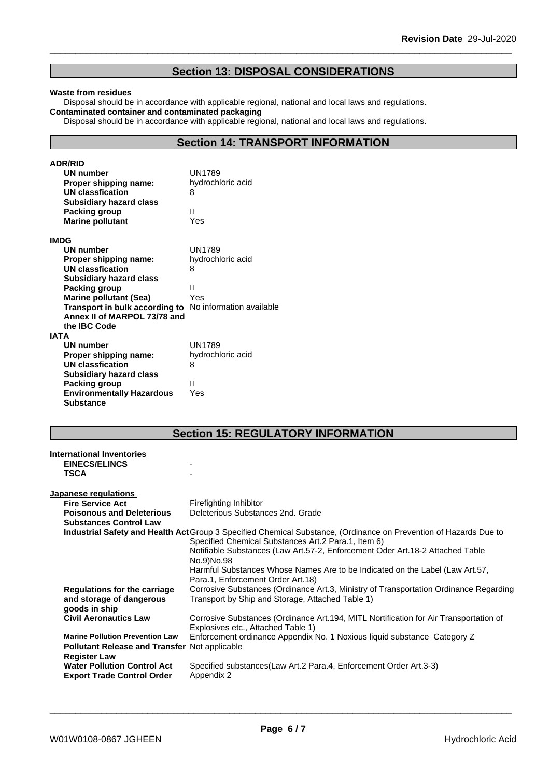### **Section 13: DISPOSAL CONSIDERATIONS**

#### **Waste from residues**

Disposal should be in accordance with applicable regional, national and local laws and regulations. **Contaminated container and contaminated packaging**

Disposal should be in accordance with applicable regional, national and local laws and regulations.

### **Section 14: TRANSPORT INFORMATION**

| <b>ADR/RID</b>                                                 |                   |
|----------------------------------------------------------------|-------------------|
| <b>UN number</b>                                               | UN1789            |
| Proper shipping name:                                          | hydrochloric acid |
| <b>UN classfication</b>                                        | 8                 |
| <b>Subsidiary hazard class</b>                                 |                   |
| Packing group                                                  | Ш                 |
| <b>Marine pollutant</b>                                        | Yes               |
| <b>IMDG</b>                                                    |                   |
| UN number                                                      | <b>UN1789</b>     |
| Proper shipping name:                                          | hydrochloric acid |
| <b>UN classfication</b>                                        | 8                 |
| <b>Subsidiary hazard class</b>                                 |                   |
| Packing group                                                  | Ш                 |
| <b>Marine pollutant (Sea)</b>                                  | Yes               |
| <b>Transport in bulk according to</b> No information available |                   |
| Annex II of MARPOL 73/78 and                                   |                   |
| the <b>IBC</b> Code                                            |                   |
| <b>IATA</b>                                                    |                   |
| <b>UN number</b>                                               | <b>UN1789</b>     |
| Proper shipping name:                                          | hydrochloric acid |
| <b>UN classfication</b>                                        | 8                 |
| <b>Subsidiary hazard class</b>                                 |                   |
| Packing group                                                  | Ш                 |
| <b>Environmentally Hazardous</b>                               | Yes               |
| <b>Substance</b>                                               |                   |

### **Section 15: REGULATORY INFORMATION**

| <b>International Inventories</b><br><b>EINECS/ELINCS</b>                         |                                                                                                                                                                            |
|----------------------------------------------------------------------------------|----------------------------------------------------------------------------------------------------------------------------------------------------------------------------|
| <b>TSCA</b>                                                                      |                                                                                                                                                                            |
| <b>Japanese regulations</b>                                                      |                                                                                                                                                                            |
| <b>Fire Service Act</b>                                                          | Firefighting Inhibitor                                                                                                                                                     |
| <b>Poisonous and Deleterious</b>                                                 | Deleterious Substances 2nd, Grade                                                                                                                                          |
| <b>Substances Control Law</b>                                                    |                                                                                                                                                                            |
|                                                                                  | Industrial Safety and Health Act Group 3 Specified Chemical Substance, (Ordinance on Prevention of Hazards Due to<br>Specified Chemical Substances Art. 2 Para. 1, Item 6) |
|                                                                                  | Notifiable Substances (Law Art.57-2, Enforcement Oder Art.18-2 Attached Table<br>No.9)No.98                                                                                |
|                                                                                  | Harmful Substances Whose Names Are to be Indicated on the Label (Law Art.57,<br>Para.1, Enforcement Order Art.18)                                                          |
| <b>Regulations for the carriage</b><br>and storage of dangerous<br>goods in ship | Corrosive Substances (Ordinance Art.3, Ministry of Transportation Ordinance Regarding<br>Transport by Ship and Storage, Attached Table 1)                                  |
| <b>Civil Aeronautics Law</b>                                                     | Corrosive Substances (Ordinance Art.194, MITL Nortification for Air Transportation of<br>Explosives etc., Attached Table 1)                                                |
| <b>Marine Pollution Prevention Law</b>                                           | Enforcement ordinance Appendix No. 1 Noxious liquid substance Category Z                                                                                                   |
| <b>Pollutant Release and Transfer Not applicable</b><br><b>Register Law</b>      |                                                                                                                                                                            |
| <b>Water Pollution Control Act</b><br><b>Export Trade Control Order</b>          | Specified substances (Law Art.2 Para.4, Enforcement Order Art.3-3)<br>Appendix 2                                                                                           |
|                                                                                  |                                                                                                                                                                            |